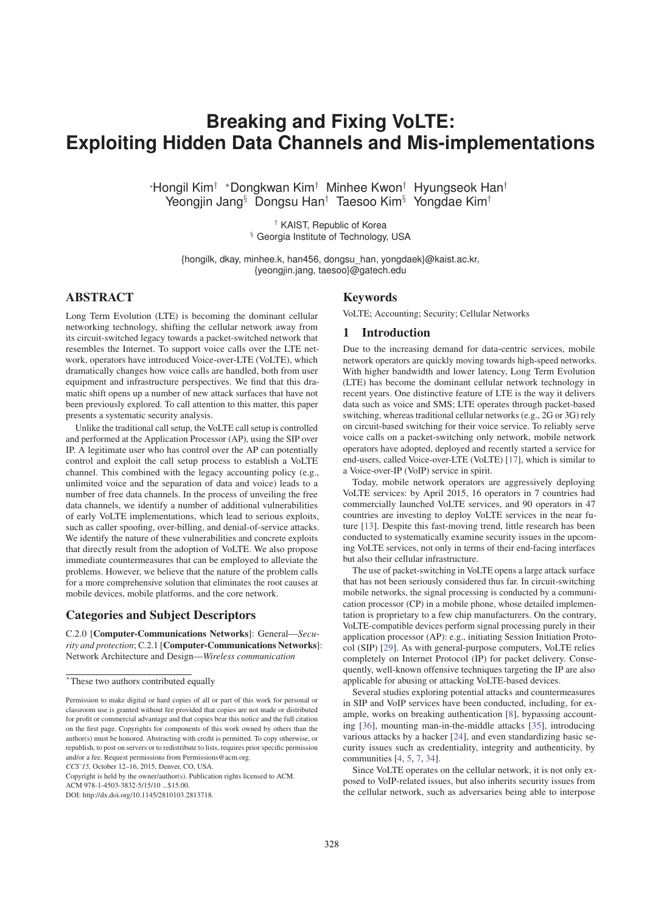# **Breaking and Fixing VoLTE: Exploiting Hidden Data Channels and Mis-implementations**

∗ Hongil Kim† ∗Dongkwan Kim† Minhee Kwon† Hyungseok Han† Yeongjin Jang§ Dongsu Han† Taesoo Kim§ Yongdae Kim†

> † KAIST, Republic of Korea § Georgia Institute of Technology, USA

{hongilk, dkay, minhee.k, han456, dongsu\_han, yongdaek}@kaist.ac.kr, {yeongjin.jang, taesoo}@gatech.edu

### ABSTRACT

Long Term Evolution (LTE) is becoming the dominant cellular networking technology, shifting the cellular network away from its circuit-switched legacy towards a packet-switched network that resembles the Internet. To support voice calls over the LTE network, operators have introduced Voice-over-LTE (VoLTE), which dramatically changes how voice calls are handled, both from user equipment and infrastructure perspectives. We find that this dramatic shift opens up a number of new attack surfaces that have not been previously explored. To call attention to this matter, this paper presents a systematic security analysis.

Unlike the traditional call setup, the VoLTE call setup is controlled and performed at the Application Processor (AP), using the SIP over IP. A legitimate user who has control over the AP can potentially control and exploit the call setup process to establish a VoLTE channel. This combined with the legacy accounting policy (e.g., unlimited voice and the separation of data and voice) leads to a number of free data channels. In the process of unveiling the free data channels, we identify a number of additional vulnerabilities of early VoLTE implementations, which lead to serious exploits, such as caller spoofing, over-billing, and denial-of-service attacks. We identify the nature of these vulnerabilities and concrete exploits that directly result from the adoption of VoLTE. We also propose immediate countermeasures that can be employed to alleviate the problems. However, we believe that the nature of the problem calls for a more comprehensive solution that eliminates the root causes at mobile devices, mobile platforms, and the core network.

## Categories and Subject Descriptors

C.2.0 [Computer-Communications Networks]: General—*Security and protection*; C.2.1 [Computer-Communications Networks]: Network Architecture and Design—*Wireless communication*

*CCS'15,* October 12–16, 2015, Denver, CO, USA.

Copyright is held by the owner/author(s). Publication rights licensed to ACM.

#### Keywords

VoLTE; Accounting; Security; Cellular Networks

#### 1 Introduction

Due to the increasing demand for data-centric services, mobile network operators are quickly moving towards high-speed networks. With higher bandwidth and lower latency, Long Term Evolution (LTE) has become the dominant cellular network technology in recent years. One distinctive feature of LTE is the way it delivers data such as voice and SMS; LTE operates through packet-based switching, whereas traditional cellular networks (e.g., 2G or 3G) rely on circuit-based switching for their voice service. To reliably serve voice calls on a packet-switching only network, mobile network operators have adopted, deployed and recently started a service for end-users, called Voice-over-LTE (VoLTE) [17], which is similar to a Voice-over-IP (VoIP) service in spirit.

Today, mobile network operators are aggressively deploying VoLTE services: by April 2015, 16 operators in 7 countries had commercially launched VoLTE services, and 90 operators in 47 countries are investing to deploy VoLTE services in the near future [13]. Despite this fast-moving trend, little research has been conducted to systematically examine security issues in the upcoming VoLTE services, not only in terms of their end-facing interfaces but also their cellular infrastructure.

The use of packet-switching in VoLTE opens a large attack surface that has not been seriously considered thus far. In circuit-switching mobile networks, the signal processing is conducted by a communication processor (CP) in a mobile phone, whose detailed implementation is proprietary to a few chip manufacturers. On the contrary, VoLTE-compatible devices perform signal processing purely in their application processor (AP): e.g., initiating Session Initiation Protocol (SIP) [29]. As with general-purpose computers, VoLTE relies completely on Internet Protocol (IP) for packet delivery. Consequently, well-known offensive techniques targeting the IP are also applicable for abusing or attacking VoLTE-based devices.

Several studies exploring potential attacks and countermeasures in SIP and VoIP services have been conducted, including, for example, works on breaking authentication [8], bypassing accounting [36], mounting man-in-the-middle attacks [35], introducing various attacks by a hacker [24], and even standardizing basic security issues such as credentiality, integrity and authenticity, by communities [4, 5, 7, 34].

Since VoLTE operates on the cellular network, it is not only exposed to VoIP-related issues, but also inherits security issues from the cellular network, such as adversaries being able to interpose

<sup>∗</sup>These two authors contributed equally

Permission to make digital or hard copies of all or part of this work for personal or classroom use is granted without fee provided that copies are not made or distributed for profit or commercial advantage and that copies bear this notice and the full citation on the first page. Copyrights for components of this work owned by others than the author(s) must be honored. Abstracting with credit is permitted. To copy otherwise, or republish, to post on servers or to redistribute to lists, requires prior specific permission and/or a fee. Request permissions from Permissions@acm.org.

ACM 978-1-4503-3832-5/15/10 ...\$15.00.

DOI: http://dx.doi.org/10.1145/2810103.2813718.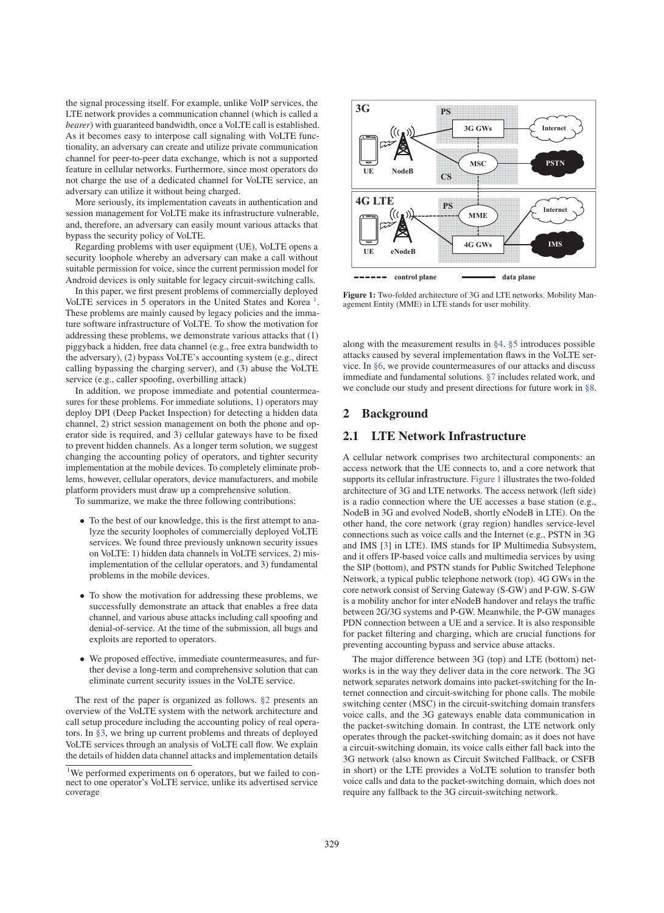the signal processing itself. For example, unlike VoIP services, the LTE network provides a communication channel (which is called a *bearer*) with guaranteed bandwidth, once a VoLTE call is established. As it becomes easy to interpose call signaling with VoLTE functionality, an adversary can create and utilize private communication channel for peer-to-peer data exchange, which is not a supported feature in cellular networks. Furthermore, since most operators do not charge the use of a dedicated channel for VoLTE service, an adversary can utilize it without being charged.

More seriously, its implementation caveats in authentication and session management for VoLTE make its infrastructure vulnerable, and, therefore, an adversary can easily mount various attacks that bypass the security policy of VoLTE.

Regarding problems with user equipment (UE), VoLTE opens a security loophole whereby an adversary can make a call without suitable permission for voice, since the current permission model for Android devices is only suitable for legacy circuit-switching calls.

In this paper, we first present problems of commercially deployed VoLTE services in 5 operators in the United States and Korea<sup> $1$ </sup>. These problems are mainly caused by legacy policies and the immature software infrastructure of VoLTE. To show the motivation for addressing these problems, we demonstrate various attacks that (1) piggyback a hidden, free data channel (e.g., free extra bandwidth to the adversary), (2) bypass VoLTE's accounting system (e.g., direct calling bypassing the charging server), and (3) abuse the VoLTE service (e.g., caller spoofing, overbilling attack)

In addition, we propose immediate and potential countermeasures for these problems. For immediate solutions, 1) operators may deploy DPI (Deep Packet Inspection) for detecting a hidden data channel, 2) strict session management on both the phone and operator side is required, and 3) cellular gateways have to be fixed to prevent hidden channels. As a longer term solution, we suggest changing the accounting policy of operators, and tighter security implementation at the mobile devices. To completely eliminate problems, however, cellular operators, device manufacturers, and mobile platform providers must draw up a comprehensive solution.

To summarize, we make the three following contributions:

- To the best of our knowledge, this is the first attempt to analyze the security loopholes of commercially deployed VoLTE services. We found three previously unknown security issues on VoLTE: 1) hidden data channels in VoLTE services, 2) misimplementation of the cellular operators, and 3) fundamental problems in the mobile devices.
- To show the motivation for addressing these problems, we successfully demonstrate an attack that enables a free data channel, and various abuse attacks including call spoofing and denial-of-service. At the time of the submission, all bugs and exploits are reported to operators.
- We proposed effective, immediate countermeasures, and further devise a long-term and comprehensive solution that can eliminate current security issues in the VoLTE service.

The rest of the paper is organized as follows. §2 presents an overview of the VoLTE system with the network architecture and call setup procedure including the accounting policy of real operators. In §3, we bring up current problems and threats of deployed VoLTE services through an analysis of VoLTE call flow. We explain the details of hidden data channel attacks and implementation details



Figure 1: Two-folded architecture of 3G and LTE networks. Mobility Management Entity (MME) in LTE stands for user mobility.

along with the measurement results in §4. §5 introduces possible attacks caused by several implementation flaws in the VoLTE service. In §6, we provide countermeasures of our attacks and discuss immediate and fundamental solutions. §7 includes related work, and we conclude our study and present directions for future work in §8.

## 2 Background

## 2.1 LTE Network Infrastructure

A cellular network comprises two architectural components: an access network that the UE connects to, and a core network that supports its cellular infrastructure. Figure 1 illustrates the two-folded architecture of 3G and LTE networks. The access network (left side) is a radio connection where the UE accesses a base station (e.g., NodeB in 3G and evolved NodeB, shortly eNodeB in LTE). On the other hand, the core network (gray region) handles service-level connections such as voice calls and the Internet (e.g., PSTN in 3G and IMS [3] in LTE). IMS stands for IP Multimedia Subsystem, and it offers IP-based voice calls and multimedia services by using the SIP (bottom), and PSTN stands for Public Switched Telephone Network, a typical public telephone network (top). 4G GWs in the core network consist of Serving Gateway (S-GW) and P-GW. S-GW is a mobility anchor for inter eNodeB handover and relays the traffic between 2G/3G systems and P-GW. Meanwhile, the P-GW manages PDN connection between a UE and a service. It is also responsible for packet filtering and charging, which are crucial functions for preventing accounting bypass and service abuse attacks.

The major difference between 3G (top) and LTE (bottom) networks is in the way they deliver data in the core network. The 3G network separates network domains into packet-switching for the Internet connection and circuit-switching for phone calls. The mobile switching center (MSC) in the circuit-switching domain transfers voice calls, and the 3G gateways enable data communication in the packet-switching domain. In contrast, the LTE network only operates through the packet-switching domain; as it does not have a circuit-switching domain, its voice calls either fall back into the 3G network (also known as Circuit Switched Fallback, or CSFB in short) or the LTE provides a VoLTE solution to transfer both voice calls and data to the packet-switching domain, which does not require any fallback to the 3G circuit-switching network.

<sup>&</sup>lt;sup>1</sup>We performed experiments on 6 operators, but we failed to connect to one operator's VoLTE service, unlike its advertised service coverage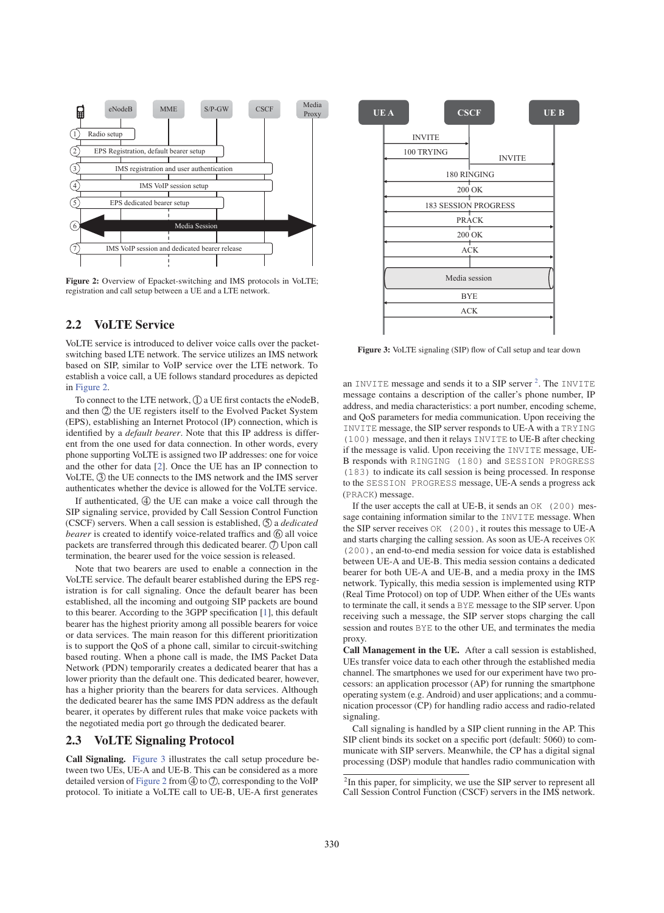

Figure 2: Overview of Epacket-switching and IMS protocols in VoLTE; registration and call setup between a UE and a LTE network.

# 2.2 VoLTE Service

VoLTE service is introduced to deliver voice calls over the packetswitching based LTE network. The service utilizes an IMS network based on SIP, similar to VoIP service over the LTE network. To establish a voice call, a UE follows standard procedures as depicted in Figure 2.

To connect to the LTE network,  $(1)$  a UE first contacts the eNodeB, and then  $Q$  the UE registers itself to the Evolved Packet System (EPS), establishing an Internet Protocol (IP) connection, which is identified by a *default bearer*. Note that this IP address is different from the one used for data connection. In other words, every phone supporting VoLTE is assigned two IP addresses: one for voice and the other for data [2]. Once the UE has an IP connection to VoLTE,  $\circled{3}$  the UE connects to the IMS network and the IMS server authenticates whether the device is allowed for the VoLTE service.

If authenticated,  $\Phi$  the UE can make a voice call through the SIP signaling service, provided by Call Session Control Function (CSCF) servers. When a call session is established, 5 a *dedicated bearer* is created to identify voice-related traffics and  $\overline{6}$  all voice packets are transferred through this dedicated bearer.  $\mathcal{D}$  Upon call termination, the bearer used for the voice session is released.

Note that two bearers are used to enable a connection in the VoLTE service. The default bearer established during the EPS registration is for call signaling. Once the default bearer has been established, all the incoming and outgoing SIP packets are bound to this bearer. According to the 3GPP specification [1], this default bearer has the highest priority among all possible bearers for voice or data services. The main reason for this different prioritization is to support the QoS of a phone call, similar to circuit-switching based routing. When a phone call is made, the IMS Packet Data Network (PDN) temporarily creates a dedicated bearer that has a lower priority than the default one. This dedicated bearer, however, has a higher priority than the bearers for data services. Although the dedicated bearer has the same IMS PDN address as the default bearer, it operates by different rules that make voice packets with the negotiated media port go through the dedicated bearer.

# 2.3 VoLTE Signaling Protocol

Call Signaling. Figure 3 illustrates the call setup procedure between two UEs, UE-A and UE-B. This can be considered as a more detailed version of Figure 2 from  $\bigoplus$  to  $\bigcirc$ , corresponding to the VoIP protocol. To initiate a VoLTE call to UE-B, UE-A first generates



Figure 3: VoLTE signaling (SIP) flow of Call setup and tear down

an INVITE message and sends it to a SIP server  $2$ . The INVITE message contains a description of the caller's phone number, IP address, and media characteristics: a port number, encoding scheme, and QoS parameters for media communication. Upon receiving the INVITE message, the SIP server responds to UE-A with a TRYING (100) message, and then it relays INVITE to UE-B after checking if the message is valid. Upon receiving the INVITE message, UE-B responds with RINGING (180) and SESSION PROGRESS (183) to indicate its call session is being processed. In response to the SESSION PROGRESS message, UE-A sends a progress ack (PRACK) message.

If the user accepts the call at UE-B, it sends an OK (200) message containing information similar to the INVITE message. When the SIP server receives OK (200), it routes this message to UE-A and starts charging the calling session. As soon as UE-A receives OK (200), an end-to-end media session for voice data is established between UE-A and UE-B. This media session contains a dedicated bearer for both UE-A and UE-B, and a media proxy in the IMS network. Typically, this media session is implemented using RTP (Real Time Protocol) on top of UDP. When either of the UEs wants to terminate the call, it sends a BYE message to the SIP server. Upon receiving such a message, the SIP server stops charging the call session and routes BYE to the other UE, and terminates the media proxy.

Call Management in the UE. After a call session is established, UEs transfer voice data to each other through the established media channel. The smartphones we used for our experiment have two processors: an application processor (AP) for running the smartphone operating system (e.g. Android) and user applications; and a communication processor (CP) for handling radio access and radio-related signaling.

Call signaling is handled by a SIP client running in the AP. This SIP client binds its socket on a specific port (default: 5060) to communicate with SIP servers. Meanwhile, the CP has a digital signal processing (DSP) module that handles radio communication with

<sup>&</sup>lt;sup>2</sup>In this paper, for simplicity, we use the SIP server to represent all Call Session Control Function (CSCF) servers in the IMS network.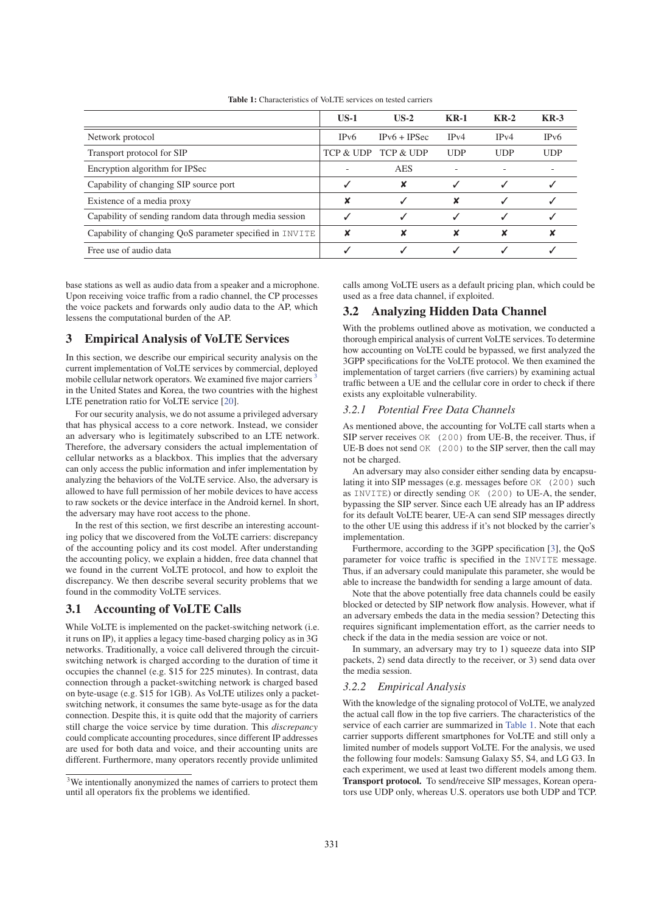|                                                          | $US-1$            | $US-2$         | $KR-1$     | $KR-2$     | $KR-3$     |
|----------------------------------------------------------|-------------------|----------------|------------|------------|------------|
| Network protocol                                         | IP <sub>v</sub> 6 | $IPv6 + IPSec$ | IPv4       | IPv4       | IPv6       |
| Transport protocol for SIP                               | TCP & UDP         | TCP & UDP      | <b>UDP</b> | <b>UDP</b> | <b>UDP</b> |
| Encryption algorithm for IPSec                           |                   | <b>AES</b>     |            |            |            |
| Capability of changing SIP source port                   |                   | ×              |            |            |            |
| Existence of a media proxy                               | x                 |                | x          |            |            |
| Capability of sending random data through media session  |                   | ✓              | √          |            |            |
| Capability of changing QoS parameter specified in INVITE | x                 | x              | ×          | x          |            |
| Free use of audio data                                   |                   |                |            |            |            |

Table 1: Characteristics of VoLTE services on tested carriers

base stations as well as audio data from a speaker and a microphone. Upon receiving voice traffic from a radio channel, the CP processes the voice packets and forwards only audio data to the AP, which lessens the computational burden of the AP.

# 3 Empirical Analysis of VoLTE Services

In this section, we describe our empirical security analysis on the current implementation of VoLTE services by commercial, deployed mobile cellular network operators. We examined five major carriers <sup>3</sup> in the United States and Korea, the two countries with the highest LTE penetration ratio for VoLTE service [20].

For our security analysis, we do not assume a privileged adversary that has physical access to a core network. Instead, we consider an adversary who is legitimately subscribed to an LTE network. Therefore, the adversary considers the actual implementation of cellular networks as a blackbox. This implies that the adversary can only access the public information and infer implementation by analyzing the behaviors of the VoLTE service. Also, the adversary is allowed to have full permission of her mobile devices to have access to raw sockets or the device interface in the Android kernel. In short, the adversary may have root access to the phone.

In the rest of this section, we first describe an interesting accounting policy that we discovered from the VoLTE carriers: discrepancy of the accounting policy and its cost model. After understanding the accounting policy, we explain a hidden, free data channel that we found in the current VoLTE protocol, and how to exploit the discrepancy. We then describe several security problems that we found in the commodity VoLTE services.

## 3.1 Accounting of VoLTE Calls

While VoLTE is implemented on the packet-switching network (i.e. it runs on IP), it applies a legacy time-based charging policy as in 3G networks. Traditionally, a voice call delivered through the circuitswitching network is charged according to the duration of time it occupies the channel (e.g. \$15 for 225 minutes). In contrast, data connection through a packet-switching network is charged based on byte-usage (e.g. \$15 for 1GB). As VoLTE utilizes only a packetswitching network, it consumes the same byte-usage as for the data connection. Despite this, it is quite odd that the majority of carriers still charge the voice service by time duration. This *discrepancy* could complicate accounting procedures, since different IP addresses are used for both data and voice, and their accounting units are different. Furthermore, many operators recently provide unlimited calls among VoLTE users as a default pricing plan, which could be used as a free data channel, if exploited.

# 3.2 Analyzing Hidden Data Channel

With the problems outlined above as motivation, we conducted a thorough empirical analysis of current VoLTE services. To determine how accounting on VoLTE could be bypassed, we first analyzed the 3GPP specifications for the VoLTE protocol. We then examined the implementation of target carriers (five carriers) by examining actual traffic between a UE and the cellular core in order to check if there exists any exploitable vulnerability.

#### *3.2.1 Potential Free Data Channels*

As mentioned above, the accounting for VoLTE call starts when a SIP server receives OK (200) from UE-B, the receiver. Thus, if UE-B does not send OK (200) to the SIP server, then the call may not be charged.

An adversary may also consider either sending data by encapsulating it into SIP messages (e.g. messages before OK (200) such as INVITE) or directly sending OK (200) to UE-A, the sender, bypassing the SIP server. Since each UE already has an IP address for its default VoLTE bearer, UE-A can send SIP messages directly to the other UE using this address if it's not blocked by the carrier's implementation.

Furthermore, according to the 3GPP specification [3], the QoS parameter for voice traffic is specified in the INVITE message. Thus, if an adversary could manipulate this parameter, she would be able to increase the bandwidth for sending a large amount of data.

Note that the above potentially free data channels could be easily blocked or detected by SIP network flow analysis. However, what if an adversary embeds the data in the media session? Detecting this requires significant implementation effort, as the carrier needs to check if the data in the media session are voice or not.

In summary, an adversary may try to 1) squeeze data into SIP packets, 2) send data directly to the receiver, or 3) send data over the media session.

#### *3.2.2 Empirical Analysis*

With the knowledge of the signaling protocol of VoLTE, we analyzed the actual call flow in the top five carriers. The characteristics of the service of each carrier are summarized in Table 1. Note that each carrier supports different smartphones for VoLTE and still only a limited number of models support VoLTE. For the analysis, we used the following four models: Samsung Galaxy S5, S4, and LG G3. In each experiment, we used at least two different models among them. Transport protocol. To send/receive SIP messages, Korean operators use UDP only, whereas U.S. operators use both UDP and TCP.

<sup>&</sup>lt;sup>3</sup>We intentionally anonymized the names of carriers to protect them until all operators fix the problems we identified.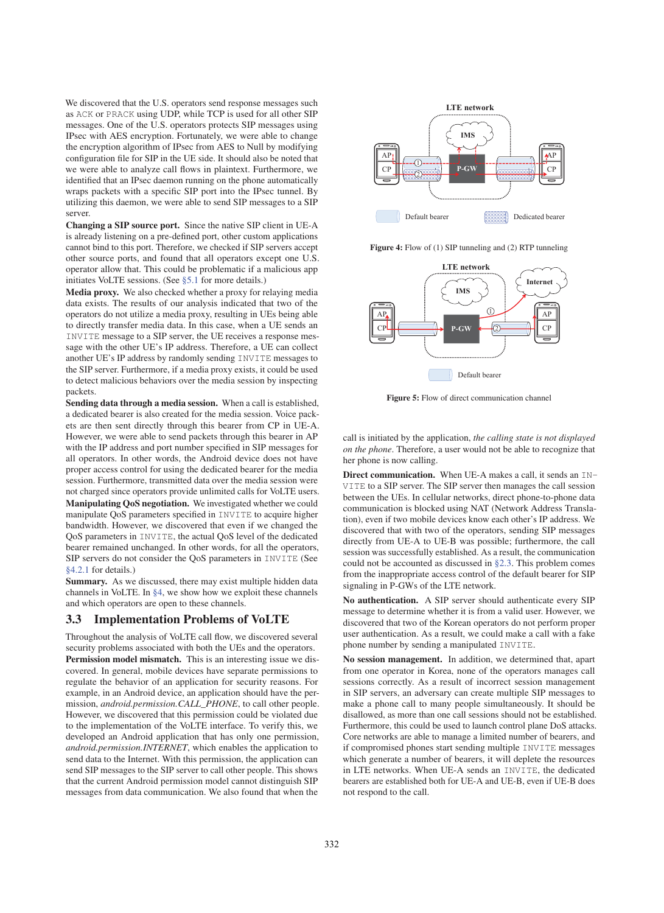We discovered that the U.S. operators send response messages such as ACK or PRACK using UDP, while TCP is used for all other SIP messages. One of the U.S. operators protects SIP messages using IPsec with AES encryption. Fortunately, we were able to change the encryption algorithm of IPsec from AES to Null by modifying configuration file for SIP in the UE side. It should also be noted that we were able to analyze call flows in plaintext. Furthermore, we identified that an IPsec daemon running on the phone automatically wraps packets with a specific SIP port into the IPsec tunnel. By utilizing this daemon, we were able to send SIP messages to a SIP server.

Changing a SIP source port. Since the native SIP client in UE-A is already listening on a pre-defined port, other custom applications cannot bind to this port. Therefore, we checked if SIP servers accept other source ports, and found that all operators except one U.S. operator allow that. This could be problematic if a malicious app initiates VoLTE sessions. (See §5.1 for more details.)

Media proxy. We also checked whether a proxy for relaying media data exists. The results of our analysis indicated that two of the operators do not utilize a media proxy, resulting in UEs being able to directly transfer media data. In this case, when a UE sends an INVITE message to a SIP server, the UE receives a response message with the other UE's IP address. Therefore, a UE can collect another UE's IP address by randomly sending INVITE messages to the SIP server. Furthermore, if a media proxy exists, it could be used to detect malicious behaviors over the media session by inspecting packets.

Sending data through a media session. When a call is established, a dedicated bearer is also created for the media session. Voice packets are then sent directly through this bearer from CP in UE-A. However, we were able to send packets through this bearer in AP with the IP address and port number specified in SIP messages for all operators. In other words, the Android device does not have proper access control for using the dedicated bearer for the media session. Furthermore, transmitted data over the media session were not charged since operators provide unlimited calls for VoLTE users. Manipulating QoS negotiation. We investigated whether we could manipulate QoS parameters specified in INVITE to acquire higher bandwidth. However, we discovered that even if we changed the QoS parameters in INVITE, the actual QoS level of the dedicated bearer remained unchanged. In other words, for all the operators, SIP servers do not consider the QoS parameters in INVITE (See §4.2.1 for details.)

Summary. As we discussed, there may exist multiple hidden data channels in VoLTE. In §4, we show how we exploit these channels and which operators are open to these channels.

#### 3.3 Implementation Problems of VoLTE

Throughout the analysis of VoLTE call flow, we discovered several security problems associated with both the UEs and the operators. Permission model mismatch. This is an interesting issue we discovered. In general, mobile devices have separate permissions to regulate the behavior of an application for security reasons. For example, in an Android device, an application should have the permission, *android.permission.CALL\_PHONE*, to call other people. However, we discovered that this permission could be violated due to the implementation of the VoLTE interface. To verify this, we developed an Android application that has only one permission, *android.permission.INTERNET*, which enables the application to send data to the Internet. With this permission, the application can send SIP messages to the SIP server to call other people. This shows that the current Android permission model cannot distinguish SIP messages from data communication. We also found that when the



Figure 4: Flow of (1) SIP tunneling and (2) RTP tunneling



Figure 5: Flow of direct communication channel

call is initiated by the application, *the calling state is not displayed on the phone*. Therefore, a user would not be able to recognize that her phone is now calling.

Direct communication. When UE-A makes a call, it sends an  $TN-$ VITE to a SIP server. The SIP server then manages the call session between the UEs. In cellular networks, direct phone-to-phone data communication is blocked using NAT (Network Address Translation), even if two mobile devices know each other's IP address. We discovered that with two of the operators, sending SIP messages directly from UE-A to UE-B was possible; furthermore, the call session was successfully established. As a result, the communication could not be accounted as discussed in §2.3. This problem comes from the inappropriate access control of the default bearer for SIP signaling in P-GWs of the LTE network.

No authentication. A SIP server should authenticate every SIP message to determine whether it is from a valid user. However, we discovered that two of the Korean operators do not perform proper user authentication. As a result, we could make a call with a fake phone number by sending a manipulated INVITE.

No session management. In addition, we determined that, apart from one operator in Korea, none of the operators manages call sessions correctly. As a result of incorrect session management in SIP servers, an adversary can create multiple SIP messages to make a phone call to many people simultaneously. It should be disallowed, as more than one call sessions should not be established. Furthermore, this could be used to launch control plane DoS attacks. Core networks are able to manage a limited number of bearers, and if compromised phones start sending multiple INVITE messages which generate a number of bearers, it will deplete the resources in LTE networks. When UE-A sends an INVITE, the dedicated bearers are established both for UE-A and UE-B, even if UE-B does not respond to the call.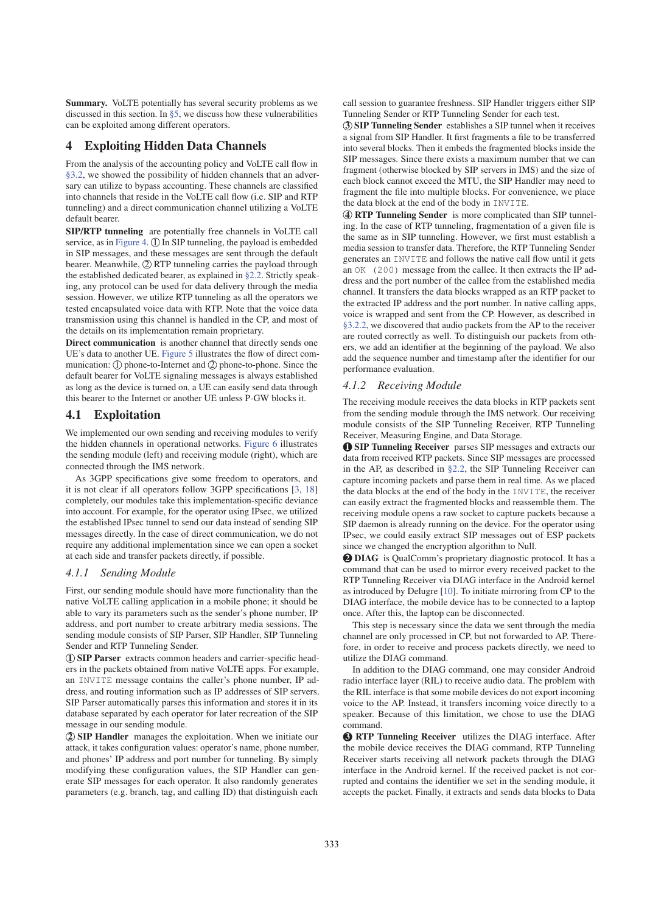Summary. VoLTE potentially has several security problems as we discussed in this section. In §5, we discuss how these vulnerabilities can be exploited among different operators.

# 4 Exploiting Hidden Data Channels

From the analysis of the accounting policy and VoLTE call flow in §3.2, we showed the possibility of hidden channels that an adversary can utilize to bypass accounting. These channels are classified into channels that reside in the VoLTE call flow (i.e. SIP and RTP tunneling) and a direct communication channel utilizing a VoLTE default bearer.

SIP/RTP tunneling are potentially free channels in VoLTE call service, as in Figure 4.  $(1)$  In SIP tunneling, the payload is embedded in SIP messages, and these messages are sent through the default bearer. Meanwhile,  $\circled{2}$  RTP tunneling carries the payload through the established dedicated bearer, as explained in §2.2. Strictly speaking, any protocol can be used for data delivery through the media session. However, we utilize RTP tunneling as all the operators we tested encapsulated voice data with RTP. Note that the voice data transmission using this channel is handled in the CP, and most of the details on its implementation remain proprietary.

Direct communication is another channel that directly sends one UE's data to another UE. Figure 5 illustrates the flow of direct communication:  $\odot$  phone-to-Internet and  $\oslash$  phone-to-phone. Since the default bearer for VoLTE signaling messages is always established as long as the device is turned on, a UE can easily send data through this bearer to the Internet or another UE unless P-GW blocks it.

## 4.1 Exploitation

We implemented our own sending and receiving modules to verify the hidden channels in operational networks. Figure 6 illustrates the sending module (left) and receiving module (right), which are connected through the IMS network.

As 3GPP specifications give some freedom to operators, and it is not clear if all operators follow 3GPP specifications [3, 18] completely, our modules take this implementation-specific deviance into account. For example, for the operator using IPsec, we utilized the established IPsec tunnel to send our data instead of sending SIP messages directly. In the case of direct communication, we do not require any additional implementation since we can open a socket at each side and transfer packets directly, if possible.

## *4.1.1 Sending Module*

First, our sending module should have more functionality than the native VoLTE calling application in a mobile phone; it should be able to vary its parameters such as the sender's phone number, IP address, and port number to create arbitrary media sessions. The sending module consists of SIP Parser, SIP Handler, SIP Tunneling Sender and RTP Tunneling Sender.

1 SIP Parser extracts common headers and carrier-specific headers in the packets obtained from native VoLTE apps. For example, an INVITE message contains the caller's phone number, IP address, and routing information such as IP addresses of SIP servers. SIP Parser automatically parses this information and stores it in its database separated by each operator for later recreation of the SIP message in our sending module.

2 SIP Handler manages the exploitation. When we initiate our attack, it takes configuration values: operator's name, phone number, and phones' IP address and port number for tunneling. By simply modifying these configuration values, the SIP Handler can generate SIP messages for each operator. It also randomly generates parameters (e.g. branch, tag, and calling ID) that distinguish each call session to guarantee freshness. SIP Handler triggers either SIP Tunneling Sender or RTP Tunneling Sender for each test.

3 SIP Tunneling Sender establishes a SIP tunnel when it receives a signal from SIP Handler. It first fragments a file to be transferred into several blocks. Then it embeds the fragmented blocks inside the SIP messages. Since there exists a maximum number that we can fragment (otherwise blocked by SIP servers in IMS) and the size of each block cannot exceed the MTU, the SIP Handler may need to fragment the file into multiple blocks. For convenience, we place the data block at the end of the body in INVITE.

4 RTP Tunneling Sender is more complicated than SIP tunneling. In the case of RTP tunneling, fragmentation of a given file is the same as in SIP tunneling. However, we first must establish a media session to transfer data. Therefore, the RTP Tunneling Sender generates an INVITE and follows the native call flow until it gets an OK (200) message from the callee. It then extracts the IP address and the port number of the callee from the established media channel. It transfers the data blocks wrapped as an RTP packet to the extracted IP address and the port number. In native calling apps, voice is wrapped and sent from the CP. However, as described in §3.2.2, we discovered that audio packets from the AP to the receiver are routed correctly as well. To distinguish our packets from others, we add an identifier at the beginning of the payload. We also add the sequence number and timestamp after the identifier for our performance evaluation.

## *4.1.2 Receiving Module*

The receiving module receives the data blocks in RTP packets sent from the sending module through the IMS network. Our receiving module consists of the SIP Tunneling Receiver, RTP Tunneling Receiver, Measuring Engine, and Data Storage.

**1 O SIP Tunneling Receiver** parses SIP messages and extracts our data from received RTP packets. Since SIP messages are processed in the AP, as described in §2.2, the SIP Tunneling Receiver can capture incoming packets and parse them in real time. As we placed the data blocks at the end of the body in the INVITE, the receiver can easily extract the fragmented blocks and reassemble them. The receiving module opens a raw socket to capture packets because a SIP daemon is already running on the device. For the operator using IPsec, we could easily extract SIP messages out of ESP packets since we changed the encryption algorithm to Null.

2 DIAG is QualComm's proprietary diagnostic protocol. It has a command that can be used to mirror every received packet to the RTP Tunneling Receiver via DIAG interface in the Android kernel as introduced by Delugre [10]. To initiate mirroring from CP to the DIAG interface, the mobile device has to be connected to a laptop once. After this, the laptop can be disconnected.

This step is necessary since the data we sent through the media channel are only processed in CP, but not forwarded to AP. Therefore, in order to receive and process packets directly, we need to utilize the DIAG command.

In addition to the DIAG command, one may consider Android radio interface layer (RIL) to receive audio data. The problem with the RIL interface is that some mobile devices do not export incoming voice to the AP. Instead, it transfers incoming voice directly to a speaker. Because of this limitation, we chose to use the DIAG command.

**3 RTP Tunneling Receiver** utilizes the DIAG interface. After the mobile device receives the DIAG command, RTP Tunneling Receiver starts receiving all network packets through the DIAG interface in the Android kernel. If the received packet is not corrupted and contains the identifier we set in the sending module, it accepts the packet. Finally, it extracts and sends data blocks to Data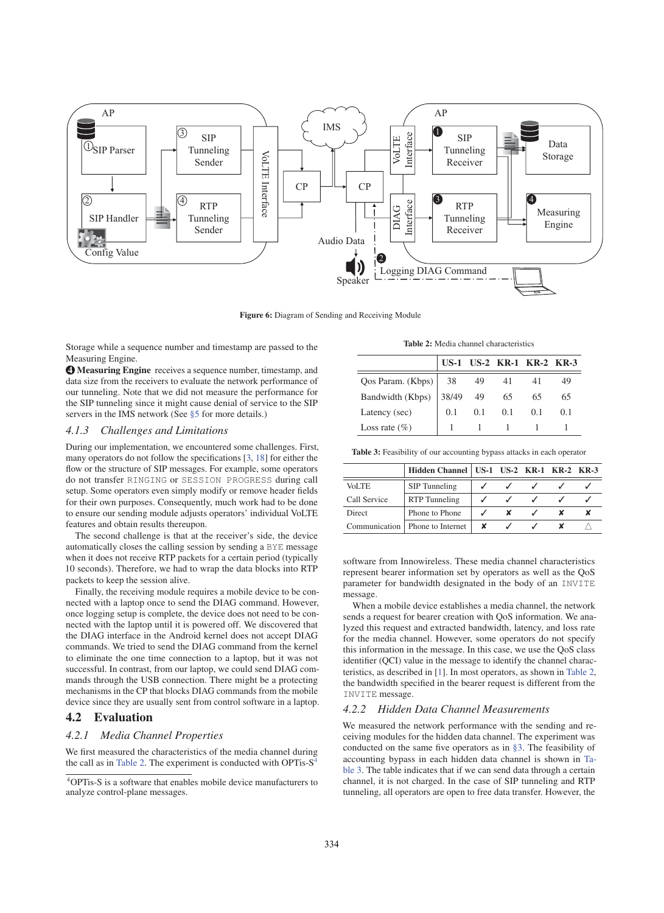

Figure 6: Diagram of Sending and Receiving Module

Storage while a sequence number and timestamp are passed to the Measuring Engine.

4 Measuring Engine receives a sequence number, timestamp, and data size from the receivers to evaluate the network performance of our tunneling. Note that we did not measure the performance for the SIP tunneling since it might cause denial of service to the SIP servers in the IMS network (See §5 for more details.)

#### *4.1.3 Challenges and Limitations*

During our implementation, we encountered some challenges. First, many operators do not follow the specifications [3, 18] for either the flow or the structure of SIP messages. For example, some operators do not transfer RINGING or SESSION PROGRESS during call setup. Some operators even simply modify or remove header fields for their own purposes. Consequently, much work had to be done to ensure our sending module adjusts operators' individual VoLTE features and obtain results thereupon.

The second challenge is that at the receiver's side, the device automatically closes the calling session by sending a BYE message when it does not receive RTP packets for a certain period (typically 10 seconds). Therefore, we had to wrap the data blocks into RTP packets to keep the session alive.

Finally, the receiving module requires a mobile device to be connected with a laptop once to send the DIAG command. However, once logging setup is complete, the device does not need to be connected with the laptop until it is powered off. We discovered that the DIAG interface in the Android kernel does not accept DIAG commands. We tried to send the DIAG command from the kernel to eliminate the one time connection to a laptop, but it was not successful. In contrast, from our laptop, we could send DIAG commands through the USB connection. There might be a protecting mechanisms in the CP that blocks DIAG commands from the mobile device since they are usually sent from control software in a laptop.

## 4.2 Evaluation

## *4.2.1 Media Channel Properties*

We first measured the characteristics of the media channel during the call as in Table 2. The experiment is conducted with OPTis- $S^4$ 

Table 2: Media channel characteristics

|                                                           |     |     |     | US-1 US-2 KR-1 KR-2 KR-3 |    |
|-----------------------------------------------------------|-----|-----|-----|--------------------------|----|
| Qos Param. (Kbps) $\begin{array}{ l} 38 & 49 \end{array}$ |     |     | 41  |                          |    |
| Bandwidth (Kbps) $\Big  38/49$                            |     |     | 65  | 65                       | 65 |
| Latency (sec)                                             | 0.1 | 0.1 | 0.1 | 0.1                      |    |
| Loss rate $(\% )$                                         |     |     |     |                          |    |

Table 3: Feasibility of our accounting bypass attacks in each operator

|               | Hidden Channel   US-1 US-2 KR-1 KR-2 KR-3 |   |   |  |  |
|---------------|-------------------------------------------|---|---|--|--|
| VoLTE         | <b>SIP</b> Tunneling                      |   |   |  |  |
| Call Service  | RTP Tunneling                             |   |   |  |  |
| <b>Direct</b> | Phone to Phone                            |   | x |  |  |
| Communication | Phone to Internet                         | x |   |  |  |

software from Innowireless. These media channel characteristics represent bearer information set by operators as well as the QoS parameter for bandwidth designated in the body of an INVITE message.

When a mobile device establishes a media channel, the network sends a request for bearer creation with QoS information. We analyzed this request and extracted bandwidth, latency, and loss rate for the media channel. However, some operators do not specify this information in the message. In this case, we use the QoS class identifier (QCI) value in the message to identify the channel characteristics, as described in [1]. In most operators, as shown in Table 2, the bandwidth specified in the bearer request is different from the INVITE message.

#### *4.2.2 Hidden Data Channel Measurements*

We measured the network performance with the sending and receiving modules for the hidden data channel. The experiment was conducted on the same five operators as in §3. The feasibility of accounting bypass in each hidden data channel is shown in Table 3. The table indicates that if we can send data through a certain channel, it is not charged. In the case of SIP tunneling and RTP tunneling, all operators are open to free data transfer. However, the

<sup>4</sup> OPTis-S is a software that enables mobile device manufacturers to analyze control-plane messages.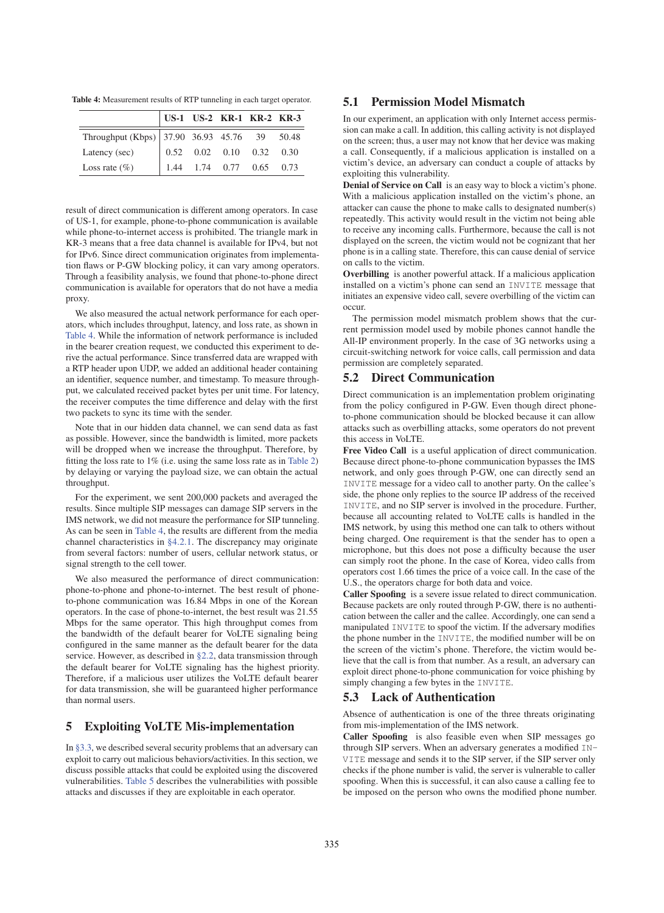Table 4: Measurement results of RTP tunneling in each target operator.

|                                              |  | US-1 US-2 KR-1 KR-2 KR-3           |  |
|----------------------------------------------|--|------------------------------------|--|
| Throughput (Kbps) 37.90 36.93 45.76 39 50.48 |  |                                    |  |
| Latency (sec)                                |  | $0.52$ $0.02$ $0.10$ $0.32$ $0.30$ |  |
| Loss rate $(\% )$                            |  | $1.44$ $1.74$ $0.77$ $0.65$ $0.73$ |  |

result of direct communication is different among operators. In case of US-1, for example, phone-to-phone communication is available while phone-to-internet access is prohibited. The triangle mark in KR-3 means that a free data channel is available for IPv4, but not for IPv6. Since direct communication originates from implementation flaws or P-GW blocking policy, it can vary among operators. Through a feasibility analysis, we found that phone-to-phone direct communication is available for operators that do not have a media proxy.

We also measured the actual network performance for each operators, which includes throughput, latency, and loss rate, as shown in Table 4. While the information of network performance is included in the bearer creation request, we conducted this experiment to derive the actual performance. Since transferred data are wrapped with a RTP header upon UDP, we added an additional header containing an identifier, sequence number, and timestamp. To measure throughput, we calculated received packet bytes per unit time. For latency, the receiver computes the time difference and delay with the first two packets to sync its time with the sender.

Note that in our hidden data channel, we can send data as fast as possible. However, since the bandwidth is limited, more packets will be dropped when we increase the throughput. Therefore, by fitting the loss rate to 1% (i.e. using the same loss rate as in Table 2) by delaying or varying the payload size, we can obtain the actual throughput.

For the experiment, we sent 200,000 packets and averaged the results. Since multiple SIP messages can damage SIP servers in the IMS network, we did not measure the performance for SIP tunneling. As can be seen in Table 4, the results are different from the media channel characteristics in §4.2.1. The discrepancy may originate from several factors: number of users, cellular network status, or signal strength to the cell tower.

We also measured the performance of direct communication: phone-to-phone and phone-to-internet. The best result of phoneto-phone communication was 16.84 Mbps in one of the Korean operators. In the case of phone-to-internet, the best result was 21.55 Mbps for the same operator. This high throughput comes from the bandwidth of the default bearer for VoLTE signaling being configured in the same manner as the default bearer for the data service. However, as described in §2.2, data transmission through the default bearer for VoLTE signaling has the highest priority. Therefore, if a malicious user utilizes the VoLTE default bearer for data transmission, she will be guaranteed higher performance than normal users.

### 5 Exploiting VoLTE Mis-implementation

In §3.3, we described several security problems that an adversary can exploit to carry out malicious behaviors/activities. In this section, we discuss possible attacks that could be exploited using the discovered vulnerabilities. Table 5 describes the vulnerabilities with possible attacks and discusses if they are exploitable in each operator.

# 5.1 Permission Model Mismatch

In our experiment, an application with only Internet access permission can make a call. In addition, this calling activity is not displayed on the screen; thus, a user may not know that her device was making a call. Consequently, if a malicious application is installed on a victim's device, an adversary can conduct a couple of attacks by exploiting this vulnerability.

Denial of Service on Call is an easy way to block a victim's phone. With a malicious application installed on the victim's phone, an attacker can cause the phone to make calls to designated number(s) repeatedly. This activity would result in the victim not being able to receive any incoming calls. Furthermore, because the call is not displayed on the screen, the victim would not be cognizant that her phone is in a calling state. Therefore, this can cause denial of service on calls to the victim.

Overbilling is another powerful attack. If a malicious application installed on a victim's phone can send an INVITE message that initiates an expensive video call, severe overbilling of the victim can occur.

The permission model mismatch problem shows that the current permission model used by mobile phones cannot handle the All-IP environment properly. In the case of 3G networks using a circuit-switching network for voice calls, call permission and data permission are completely separated.

## 5.2 Direct Communication

Direct communication is an implementation problem originating from the policy configured in P-GW. Even though direct phoneto-phone communication should be blocked because it can allow attacks such as overbilling attacks, some operators do not prevent this access in VoLTE.

Free Video Call is a useful application of direct communication. Because direct phone-to-phone communication bypasses the IMS network, and only goes through P-GW, one can directly send an INVITE message for a video call to another party. On the callee's side, the phone only replies to the source IP address of the received INVITE, and no SIP server is involved in the procedure. Further, because all accounting related to VoLTE calls is handled in the IMS network, by using this method one can talk to others without being charged. One requirement is that the sender has to open a microphone, but this does not pose a difficulty because the user can simply root the phone. In the case of Korea, video calls from operators cost 1.66 times the price of a voice call. In the case of the U.S., the operators charge for both data and voice.

Caller Spoofing is a severe issue related to direct communication. Because packets are only routed through P-GW, there is no authentication between the caller and the callee. Accordingly, one can send a manipulated INVITE to spoof the victim. If the adversary modifies the phone number in the INVITE, the modified number will be on the screen of the victim's phone. Therefore, the victim would believe that the call is from that number. As a result, an adversary can exploit direct phone-to-phone communication for voice phishing by simply changing a few bytes in the INVITE.

#### 5.3 Lack of Authentication

Absence of authentication is one of the three threats originating from mis-implementation of the IMS network.

Caller Spoofing is also feasible even when SIP messages go through SIP servers. When an adversary generates a modified IN-VITE message and sends it to the SIP server, if the SIP server only checks if the phone number is valid, the server is vulnerable to caller spoofing. When this is successful, it can also cause a calling fee to be imposed on the person who owns the modified phone number.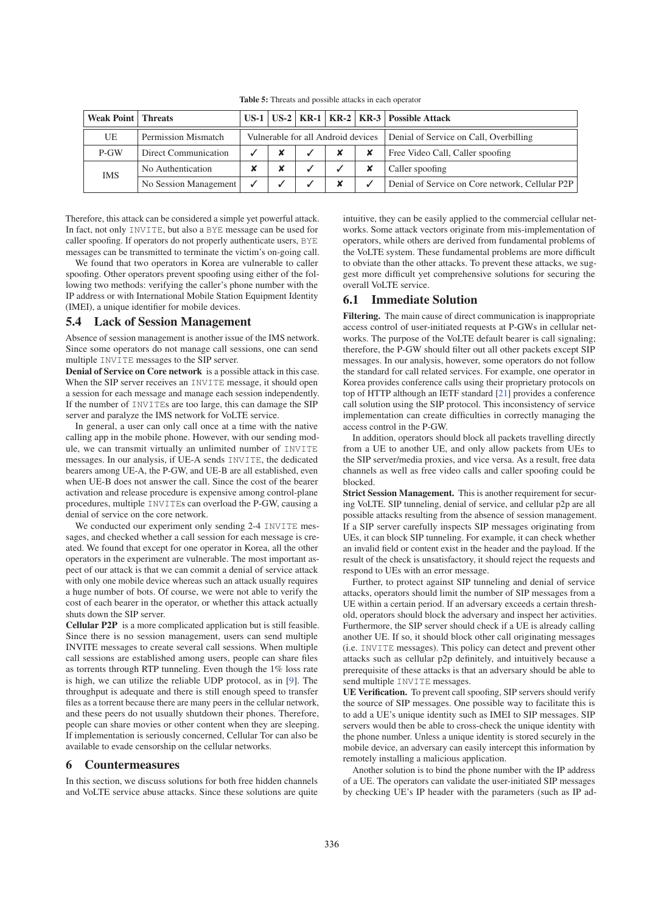Table 5: Threats and possible attacks in each operator

| <b>Weak Point   Threats</b> |                       |  |   |  |   | US-1   US-2   KR-1   KR-2   KR-3   Possible Attack                          |
|-----------------------------|-----------------------|--|---|--|---|-----------------------------------------------------------------------------|
| UE                          | Permission Mismatch   |  |   |  |   | Vulnerable for all Android devices   Denial of Service on Call, Overbilling |
| P-GW                        | Direct Communication  |  | × |  | x | Free Video Call, Caller spoofing                                            |
| <b>IMS</b>                  | No Authentication     |  |   |  |   | Caller spoofing                                                             |
|                             | No Session Management |  |   |  | x | Denial of Service on Core network, Cellular P2P                             |

Therefore, this attack can be considered a simple yet powerful attack. In fact, not only INVITE, but also a BYE message can be used for caller spoofing. If operators do not properly authenticate users, BYE messages can be transmitted to terminate the victim's on-going call.

We found that two operators in Korea are vulnerable to caller spoofing. Other operators prevent spoofing using either of the following two methods: verifying the caller's phone number with the IP address or with International Mobile Station Equipment Identity (IMEI), a unique identifier for mobile devices.

#### 5.4 Lack of Session Management

Absence of session management is another issue of the IMS network. Since some operators do not manage call sessions, one can send multiple INVITE messages to the SIP server.

Denial of Service on Core network is a possible attack in this case. When the SIP server receives an INVITE message, it should open a session for each message and manage each session independently. If the number of INVITEs are too large, this can damage the SIP server and paralyze the IMS network for VoLTE service.

In general, a user can only call once at a time with the native calling app in the mobile phone. However, with our sending module, we can transmit virtually an unlimited number of INVITE messages. In our analysis, if UE-A sends INVITE, the dedicated bearers among UE-A, the P-GW, and UE-B are all established, even when UE-B does not answer the call. Since the cost of the bearer activation and release procedure is expensive among control-plane procedures, multiple INVITEs can overload the P-GW, causing a denial of service on the core network.

We conducted our experiment only sending 2-4 INVITE messages, and checked whether a call session for each message is created. We found that except for one operator in Korea, all the other operators in the experiment are vulnerable. The most important aspect of our attack is that we can commit a denial of service attack with only one mobile device whereas such an attack usually requires a huge number of bots. Of course, we were not able to verify the cost of each bearer in the operator, or whether this attack actually shuts down the SIP server.

Cellular P2P is a more complicated application but is still feasible. Since there is no session management, users can send multiple INVITE messages to create several call sessions. When multiple call sessions are established among users, people can share files as torrents through RTP tunneling. Even though the 1% loss rate is high, we can utilize the reliable UDP protocol, as in [9]. The throughput is adequate and there is still enough speed to transfer files as a torrent because there are many peers in the cellular network, and these peers do not usually shutdown their phones. Therefore, people can share movies or other content when they are sleeping. If implementation is seriously concerned, Cellular Tor can also be available to evade censorship on the cellular networks.

#### 6 Countermeasures

In this section, we discuss solutions for both free hidden channels and VoLTE service abuse attacks. Since these solutions are quite intuitive, they can be easily applied to the commercial cellular networks. Some attack vectors originate from mis-implementation of operators, while others are derived from fundamental problems of the VoLTE system. These fundamental problems are more difficult to obviate than the other attacks. To prevent these attacks, we suggest more difficult yet comprehensive solutions for securing the overall VoLTE service.

## 6.1 Immediate Solution

Filtering. The main cause of direct communication is inappropriate access control of user-initiated requests at P-GWs in cellular networks. The purpose of the VoLTE default bearer is call signaling; therefore, the P-GW should filter out all other packets except SIP messages. In our analysis, however, some operators do not follow the standard for call related services. For example, one operator in Korea provides conference calls using their proprietary protocols on top of HTTP although an IETF standard [21] provides a conference call solution using the SIP protocol. This inconsistency of service implementation can create difficulties in correctly managing the access control in the P-GW.

In addition, operators should block all packets travelling directly from a UE to another UE, and only allow packets from UEs to the SIP server/media proxies, and vice versa. As a result, free data channels as well as free video calls and caller spoofing could be blocked.

Strict Session Management. This is another requirement for securing VoLTE. SIP tunneling, denial of service, and cellular p2p are all possible attacks resulting from the absence of session management. If a SIP server carefully inspects SIP messages originating from UEs, it can block SIP tunneling. For example, it can check whether an invalid field or content exist in the header and the payload. If the result of the check is unsatisfactory, it should reject the requests and respond to UEs with an error message.

Further, to protect against SIP tunneling and denial of service attacks, operators should limit the number of SIP messages from a UE within a certain period. If an adversary exceeds a certain threshold, operators should block the adversary and inspect her activities. Furthermore, the SIP server should check if a UE is already calling another UE. If so, it should block other call originating messages (i.e. INVITE messages). This policy can detect and prevent other attacks such as cellular p2p definitely, and intuitively because a prerequisite of these attacks is that an adversary should be able to send multiple INVITE messages.

UE Verification. To prevent call spoofing, SIP servers should verify the source of SIP messages. One possible way to facilitate this is to add a UE's unique identity such as IMEI to SIP messages. SIP servers would then be able to cross-check the unique identity with the phone number. Unless a unique identity is stored securely in the mobile device, an adversary can easily intercept this information by remotely installing a malicious application.

Another solution is to bind the phone number with the IP address of a UE. The operators can validate the user-initiated SIP messages by checking UE's IP header with the parameters (such as IP ad-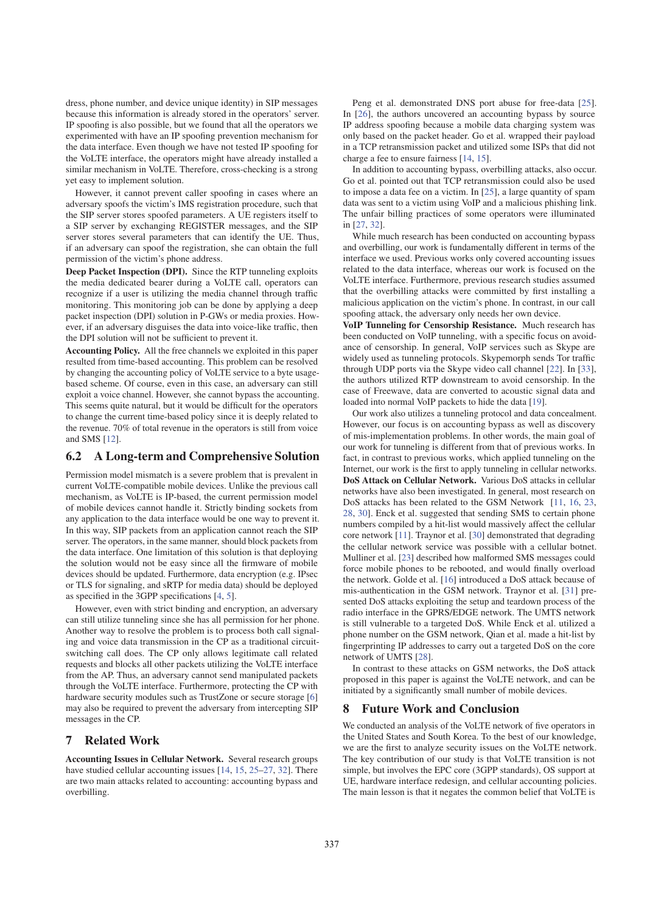dress, phone number, and device unique identity) in SIP messages because this information is already stored in the operators' server. IP spoofing is also possible, but we found that all the operators we experimented with have an IP spoofing prevention mechanism for the data interface. Even though we have not tested IP spoofing for the VoLTE interface, the operators might have already installed a similar mechanism in VoLTE. Therefore, cross-checking is a strong yet easy to implement solution.

However, it cannot prevent caller spoofing in cases where an adversary spoofs the victim's IMS registration procedure, such that the SIP server stores spoofed parameters. A UE registers itself to a SIP server by exchanging REGISTER messages, and the SIP server stores several parameters that can identify the UE. Thus, if an adversary can spoof the registration, she can obtain the full permission of the victim's phone address.

Deep Packet Inspection (DPI). Since the RTP tunneling exploits the media dedicated bearer during a VoLTE call, operators can recognize if a user is utilizing the media channel through traffic monitoring. This monitoring job can be done by applying a deep packet inspection (DPI) solution in P-GWs or media proxies. However, if an adversary disguises the data into voice-like traffic, then the DPI solution will not be sufficient to prevent it.

Accounting Policy. All the free channels we exploited in this paper resulted from time-based accounting. This problem can be resolved by changing the accounting policy of VoLTE service to a byte usagebased scheme. Of course, even in this case, an adversary can still exploit a voice channel. However, she cannot bypass the accounting. This seems quite natural, but it would be difficult for the operators to change the current time-based policy since it is deeply related to the revenue. 70% of total revenue in the operators is still from voice and SMS [12].

#### 6.2 A Long-term and Comprehensive Solution

Permission model mismatch is a severe problem that is prevalent in current VoLTE-compatible mobile devices. Unlike the previous call mechanism, as VoLTE is IP-based, the current permission model of mobile devices cannot handle it. Strictly binding sockets from any application to the data interface would be one way to prevent it. In this way, SIP packets from an application cannot reach the SIP server. The operators, in the same manner, should block packets from the data interface. One limitation of this solution is that deploying the solution would not be easy since all the firmware of mobile devices should be updated. Furthermore, data encryption (e.g. IPsec or TLS for signaling, and sRTP for media data) should be deployed as specified in the 3GPP specifications [4, 5].

However, even with strict binding and encryption, an adversary can still utilize tunneling since she has all permission for her phone. Another way to resolve the problem is to process both call signaling and voice data transmission in the CP as a traditional circuitswitching call does. The CP only allows legitimate call related requests and blocks all other packets utilizing the VoLTE interface from the AP. Thus, an adversary cannot send manipulated packets through the VoLTE interface. Furthermore, protecting the CP with hardware security modules such as TrustZone or secure storage [6] may also be required to prevent the adversary from intercepting SIP messages in the CP.

### 7 Related Work

Accounting Issues in Cellular Network. Several research groups have studied cellular accounting issues [14, 15, 25–27, 32]. There are two main attacks related to accounting: accounting bypass and overbilling.

Peng et al. demonstrated DNS port abuse for free-data [25]. In [26], the authors uncovered an accounting bypass by source IP address spoofing because a mobile data charging system was only based on the packet header. Go et al. wrapped their payload in a TCP retransmission packet and utilized some ISPs that did not charge a fee to ensure fairness [14, 15].

In addition to accounting bypass, overbilling attacks, also occur. Go et al. pointed out that TCP retransmission could also be used to impose a data fee on a victim. In [25], a large quantity of spam data was sent to a victim using VoIP and a malicious phishing link. The unfair billing practices of some operators were illuminated in [27, 32].

While much research has been conducted on accounting bypass and overbilling, our work is fundamentally different in terms of the interface we used. Previous works only covered accounting issues related to the data interface, whereas our work is focused on the VoLTE interface. Furthermore, previous research studies assumed that the overbilling attacks were committed by first installing a malicious application on the victim's phone. In contrast, in our call spoofing attack, the adversary only needs her own device.

VoIP Tunneling for Censorship Resistance. Much research has been conducted on VoIP tunneling, with a specific focus on avoidance of censorship. In general, VoIP services such as Skype are widely used as tunneling protocols. Skypemorph sends Tor traffic through UDP ports via the Skype video call channel [22]. In [33], the authors utilized RTP downstream to avoid censorship. In the case of Freewave, data are converted to acoustic signal data and loaded into normal VoIP packets to hide the data [19].

Our work also utilizes a tunneling protocol and data concealment. However, our focus is on accounting bypass as well as discovery of mis-implementation problems. In other words, the main goal of our work for tunneling is different from that of previous works. In fact, in contrast to previous works, which applied tunneling on the Internet, our work is the first to apply tunneling in cellular networks. DoS Attack on Cellular Network. Various DoS attacks in cellular networks have also been investigated. In general, most research on DoS attacks has been related to the GSM Network [11, 16, 23, 28, 30]. Enck et al. suggested that sending SMS to certain phone numbers compiled by a hit-list would massively affect the cellular core network [11]. Traynor et al. [30] demonstrated that degrading the cellular network service was possible with a cellular botnet. Mulliner et al. [23] described how malformed SMS messages could force mobile phones to be rebooted, and would finally overload the network. Golde et al. [16] introduced a DoS attack because of mis-authentication in the GSM network. Traynor et al. [31] presented DoS attacks exploiting the setup and teardown process of the radio interface in the GPRS/EDGE network. The UMTS network is still vulnerable to a targeted DoS. While Enck et al. utilized a phone number on the GSM network, Qian et al. made a hit-list by fingerprinting IP addresses to carry out a targeted DoS on the core network of UMTS [28].

In contrast to these attacks on GSM networks, the DoS attack proposed in this paper is against the VoLTE network, and can be initiated by a significantly small number of mobile devices.

#### **Future Work and Conclusion**

We conducted an analysis of the VoLTE network of five operators in the United States and South Korea. To the best of our knowledge, we are the first to analyze security issues on the VoLTE network. The key contribution of our study is that VoLTE transition is not simple, but involves the EPC core (3GPP standards), OS support at UE, hardware interface redesign, and cellular accounting policies. The main lesson is that it negates the common belief that VoLTE is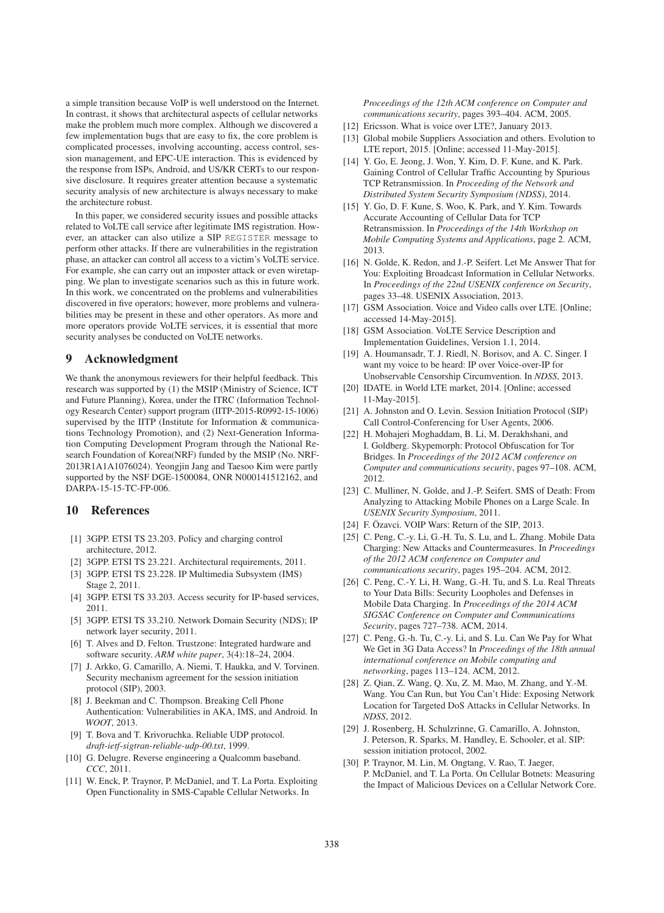a simple transition because VoIP is well understood on the Internet. In contrast, it shows that architectural aspects of cellular networks make the problem much more complex. Although we discovered a few implementation bugs that are easy to fix, the core problem is complicated processes, involving accounting, access control, session management, and EPC-UE interaction. This is evidenced by the response from ISPs, Android, and US/KR CERTs to our responsive disclosure. It requires greater attention because a systematic security analysis of new architecture is always necessary to make the architecture robust.

In this paper, we considered security issues and possible attacks related to VoLTE call service after legitimate IMS registration. However, an attacker can also utilize a SIP REGISTER message to perform other attacks. If there are vulnerabilities in the registration phase, an attacker can control all access to a victim's VoLTE service. For example, she can carry out an imposter attack or even wiretapping. We plan to investigate scenarios such as this in future work. In this work, we concentrated on the problems and vulnerabilities discovered in five operators; however, more problems and vulnerabilities may be present in these and other operators. As more and more operators provide VoLTE services, it is essential that more security analyses be conducted on VoLTE networks.

## 9 Acknowledgment

We thank the anonymous reviewers for their helpful feedback. This research was supported by (1) the MSIP (Ministry of Science, ICT and Future Planning), Korea, under the ITRC (Information Technology Research Center) support program (IITP-2015-R0992-15-1006) supervised by the IITP (Institute for Information & communications Technology Promotion), and (2) Next-Generation Information Computing Development Program through the National Research Foundation of Korea(NRF) funded by the MSIP (No. NRF-2013R1A1A1076024). Yeongjin Jang and Taesoo Kim were partly supported by the NSF DGE-1500084, ONR N000141512162, and DARPA-15-15-TC-FP-006.

#### 10 References

- [1] 3GPP. ETSI TS 23.203. Policy and charging control architecture, 2012.
- [2] 3GPP. ETSI TS 23.221. Architectural requirements, 2011.
- [3] 3GPP. ETSI TS 23.228. IP Multimedia Subsystem (IMS) Stage 2, 2011.
- [4] 3GPP. ETSI TS 33.203. Access security for IP-based services, 2011.
- [5] 3GPP. ETSI TS 33.210. Network Domain Security (NDS); IP network layer security, 2011.
- [6] T. Alves and D. Felton. Trustzone: Integrated hardware and software security. *ARM white paper*, 3(4):18–24, 2004.
- [7] J. Arkko, G. Camarillo, A. Niemi, T. Haukka, and V. Torvinen. Security mechanism agreement for the session initiation protocol (SIP), 2003.
- [8] J. Beekman and C. Thompson. Breaking Cell Phone Authentication: Vulnerabilities in AKA, IMS, and Android. In *WOOT*, 2013.
- [9] T. Bova and T. Krivoruchka. Reliable UDP protocol. *draft-ietf-sigtran-reliable-udp-00.txt*, 1999.
- [10] G. Delugre. Reverse engineering a Qualcomm baseband. *CCC*, 2011.
- [11] W. Enck, P. Traynor, P. McDaniel, and T. La Porta. Exploiting Open Functionality in SMS-Capable Cellular Networks. In

*Proceedings of the 12th ACM conference on Computer and communications security*, pages 393–404. ACM, 2005.

- [12] Ericsson. What is voice over LTE?, January 2013.
- [13] Global mobile Suppliers Association and others. Evolution to LTE report, 2015. [Online; accessed 11-May-2015].
- [14] Y. Go, E. Jeong, J. Won, Y. Kim, D. F. Kune, and K. Park. Gaining Control of Cellular Traffic Accounting by Spurious TCP Retransmission. In *Proceeding of the Network and Distributed System Security Symposium (NDSS)*, 2014.
- [15] Y. Go, D. F. Kune, S. Woo, K. Park, and Y. Kim. Towards Accurate Accounting of Cellular Data for TCP Retransmission. In *Proceedings of the 14th Workshop on Mobile Computing Systems and Applications*, page 2. ACM, 2013.
- [16] N. Golde, K. Redon, and J.-P. Seifert. Let Me Answer That for You: Exploiting Broadcast Information in Cellular Networks. In *Proceedings of the 22nd USENIX conference on Security*, pages 33–48. USENIX Association, 2013.
- [17] GSM Association. Voice and Video calls over LTE. [Online; accessed 14-May-2015].
- [18] GSM Association. VoLTE Service Description and Implementation Guidelines, Version 1.1, 2014.
- [19] A. Houmansadr, T. J. Riedl, N. Borisov, and A. C. Singer. I want my voice to be heard: IP over Voice-over-IP for Unobservable Censorship Circumvention. In *NDSS*, 2013.
- [20] IDATE. in World LTE market, 2014. [Online; accessed 11-May-2015].
- [21] A. Johnston and O. Levin. Session Initiation Protocol (SIP) Call Control-Conferencing for User Agents, 2006.
- [22] H. Mohajeri Moghaddam, B. Li, M. Derakhshani, and I. Goldberg. Skypemorph: Protocol Obfuscation for Tor Bridges. In *Proceedings of the 2012 ACM conference on Computer and communications security*, pages 97–108. ACM, 2012.
- [23] C. Mulliner, N. Golde, and J.-P. Seifert. SMS of Death: From Analyzing to Attacking Mobile Phones on a Large Scale. In *USENIX Security Symposium*, 2011.
- [24] F. Özavci. VOIP Wars: Return of the SIP, 2013.
- [25] C. Peng, C.-y. Li, G.-H. Tu, S. Lu, and L. Zhang. Mobile Data Charging: New Attacks and Countermeasures. In *Proceedings of the 2012 ACM conference on Computer and communications security*, pages 195–204. ACM, 2012.
- [26] C. Peng, C.-Y. Li, H. Wang, G.-H. Tu, and S. Lu. Real Threats to Your Data Bills: Security Loopholes and Defenses in Mobile Data Charging. In *Proceedings of the 2014 ACM SIGSAC Conference on Computer and Communications Security*, pages 727–738. ACM, 2014.
- [27] C. Peng, G.-h. Tu, C.-y. Li, and S. Lu. Can We Pay for What We Get in 3G Data Access? In *Proceedings of the 18th annual international conference on Mobile computing and networking*, pages 113–124. ACM, 2012.
- [28] Z. Qian, Z. Wang, Q. Xu, Z. M. Mao, M. Zhang, and Y.-M. Wang. You Can Run, but You Can't Hide: Exposing Network Location for Targeted DoS Attacks in Cellular Networks. In *NDSS*, 2012.
- [29] J. Rosenberg, H. Schulzrinne, G. Camarillo, A. Johnston, J. Peterson, R. Sparks, M. Handley, E. Schooler, et al. SIP: session initiation protocol, 2002.
- [30] P. Traynor, M. Lin, M. Ongtang, V. Rao, T. Jaeger, P. McDaniel, and T. La Porta. On Cellular Botnets: Measuring the Impact of Malicious Devices on a Cellular Network Core.